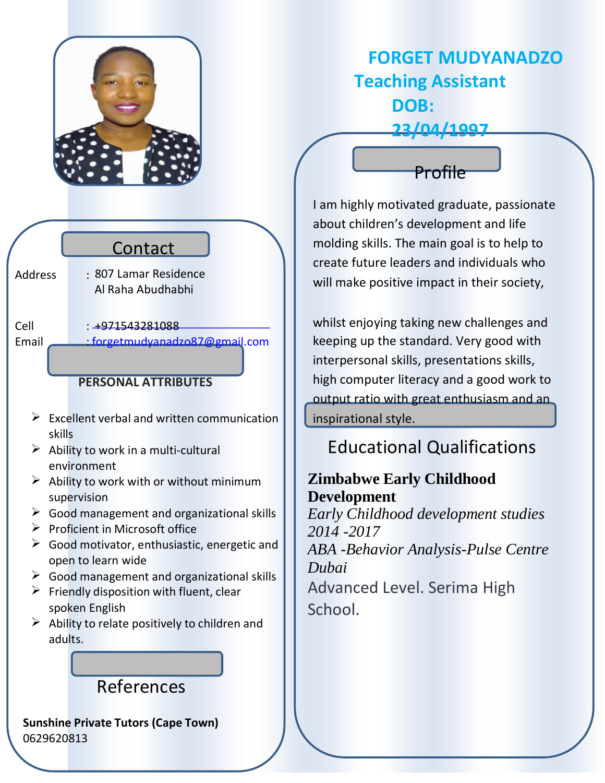

**FORGET MUDYANADZO Teaching Assistant DOB: 23/04/1997**

Contact 807 Lamar Residence Al Raha Abudhabhi

Address :

Cell : +971543281088 Email : [forgetmudyanadzo87@gmail.com](mailto:forgetmudyanadzo87@gmail.com)

### **PERSONAL ATTRIBUTES**

- $\triangleright$  Excellent verbal and written communication skills
- $\triangleright$  Ability to work in a multi-cultural environment
- $\triangleright$  Ability to work with or without minimum supervision
- $\triangleright$  Good management and organizational skills
- $\triangleright$  Proficient in Microsoft office
- $\triangleright$  Good motivator, enthusiastic, energetic and open to learn wide
- $\triangleright$  Good management and organizational skills
- $\triangleright$  Friendly disposition with fluent, clear spoken English
- $\triangleright$  Ability to relate positively to children and adults.

# References

**Sunshine Private Tutors (Cape Town)** 0629620813



I am highly motivated graduate, passionate about children's development and life molding skills. The main goal is to help to create future leaders and individuals who will make positive impact in their society,

whilst enjoying taking new challenges and keeping up the standard. Very good with interpersonal skills, presentations skills, high computer literacy and a good work to output ratio with great enthusiasm and an inspirational style.

# Educational Qualifications

## **Zimbabwe Early Childhood Development**

*Early Childhood development studies 2014 -2017 ABA -Behavior Analysis-Pulse Centre Dubai* Advanced Level. Serima High School.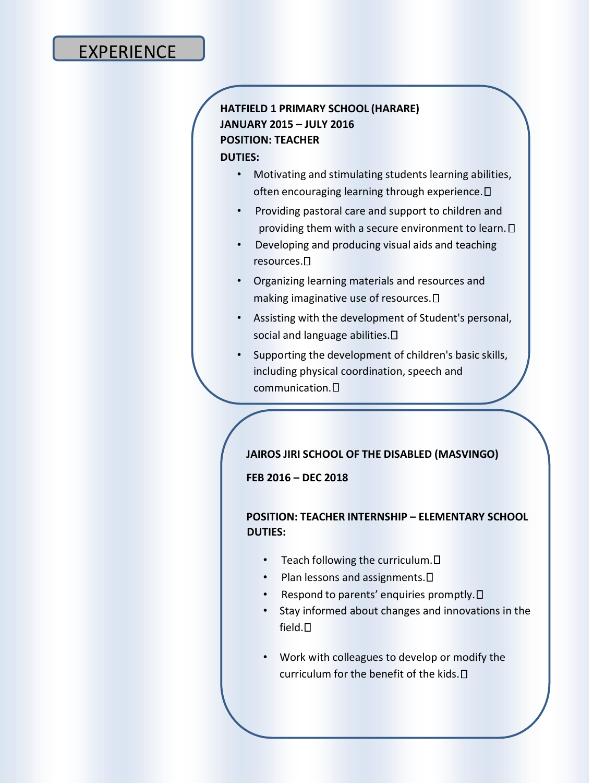## EXPERIENCE

### **HATFIELD 1 PRIMARY SCHOOL (HARARE) JANUARY 2015 – JULY 2016 POSITION: TEACHER**

#### **DUTIES:**

- Motivating and stimulating students learning abilities, often encouraging learning through experience.  $\Box$
- Providing pastoral care and support to children and providing them with a secure environment to learn.  $\square$
- Developing and producing visual aids and teaching resources.
- Organizing learning materials and resources and making imaginative use of resources.
- Assisting with the development of Student's personal, social and language abilities.  $\square$
- Supporting the development of children's basic skills, including physical coordination, speech and communication.

#### **JAIROS JIRI SCHOOL OF THE DISABLED (MASVINGO)**

**FEB 2016 – DEC 2018**

#### **POSITION: TEACHER INTERNSHIP – ELEMENTARY SCHOOL DUTIES:**

- Teach following the curriculum.  $\square$
- Plan lessons and assignments.  $\square$
- Respond to parents' enquiries promptly.  $\Box$
- Stay informed about changes and innovations in the field.
- Work with colleagues to develop or modify the curriculum for the benefit of the kids.  $\Box$